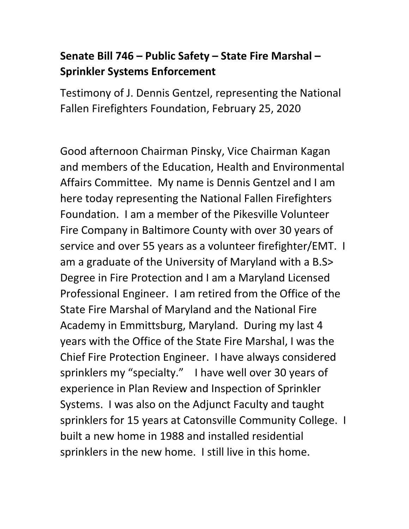## **Senate Bill 746 – Public Safety – State Fire Marshal – Sprinkler Systems Enforcement**

Testimony of J. Dennis Gentzel, representing the National Fallen Firefighters Foundation, February 25, 2020

Good afternoon Chairman Pinsky, Vice Chairman Kagan and members of the Education, Health and Environmental Affairs Committee. My name is Dennis Gentzel and I am here today representing the National Fallen Firefighters Foundation. I am a member of the Pikesville Volunteer Fire Company in Baltimore County with over 30 years of service and over 55 years as a volunteer firefighter/EMT. I am a graduate of the University of Maryland with a B.S> Degree in Fire Protection and I am a Maryland Licensed Professional Engineer. I am retired from the Office of the State Fire Marshal of Maryland and the National Fire Academy in Emmittsburg, Maryland. During my last 4 years with the Office of the State Fire Marshal, I was the Chief Fire Protection Engineer. I have always considered sprinklers my "specialty." I have well over 30 years of experience in Plan Review and Inspection of Sprinkler Systems. I was also on the Adjunct Faculty and taught sprinklers for 15 years at Catonsville Community College. I built a new home in 1988 and installed residential sprinklers in the new home. I still live in this home.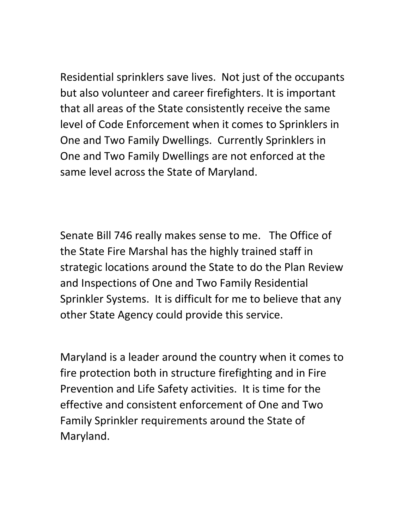Residential sprinklers save lives. Not just of the occupants but also volunteer and career firefighters. It is important that all areas of the State consistently receive the same level of Code Enforcement when it comes to Sprinklers in One and Two Family Dwellings. Currently Sprinklers in One and Two Family Dwellings are not enforced at the same level across the State of Maryland.

Senate Bill 746 really makes sense to me. The Office of the State Fire Marshal has the highly trained staff in strategic locations around the State to do the Plan Review and Inspections of One and Two Family Residential Sprinkler Systems. It is difficult for me to believe that any other State Agency could provide this service.

Maryland is a leader around the country when it comes to fire protection both in structure firefighting and in Fire Prevention and Life Safety activities. It is time for the effective and consistent enforcement of One and Two Family Sprinkler requirements around the State of Maryland.